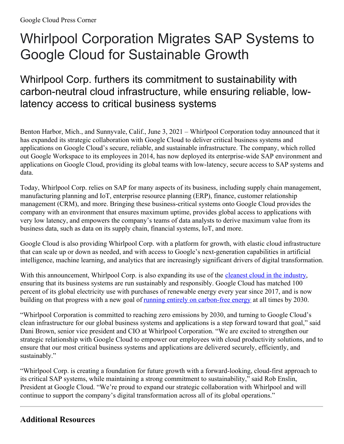# Whirlpool Corporation Migrates SAP Systems to Google Cloud for Sustainable Growth

## Whirlpool Corp. furthers its commitment to sustainability with carbon-neutral cloud infrastructure, while ensuring reliable, lowlatency access to critical business systems

Benton Harbor, Mich., and Sunnyvale, Calif., June 3, 2021 – Whirlpool Corporation today announced that it has expanded its strategic collaboration with Google Cloud to deliver critical business systems and applications on Google Cloud's secure, reliable, and sustainable infrastructure. The company, which rolled out Google Workspace to its employees in 2014, has now deployed its enterprise-wide SAP environment and applications on Google Cloud, providing its global teams with low-latency, secure access to SAP systems and data.

Today, Whirlpool Corp. relies on SAP for many aspects of its business, including supply chain management, manufacturing planning and IoT, enterprise resource planning (ERP), finance, customer relationship management (CRM), and more. Bringing these business-critical systems onto Google Cloud provides the company with an environment that ensures maximum uptime, provides global access to applications with very low latency, and empowers the company's teams of data analysts to derive maximum value from its business data, such as data on its supply chain, financial systems, IoT, and more.

Google Cloud is also providing Whirlpool Corp. with a platform for growth, with elastic cloud infrastructure that can scale up or down as needed, and with access to Google's next-generation capabilities in artificial intelligence, machine learning, and analytics that are increasingly significant drivers of digital transformation.

With this announcement, Whirlpool Corp. is also expanding its use of the [cleanest](https://cloud.google.com/sustainability) cloud in the industry, ensuring that its business systems are run sustainably and responsibly. Google Cloud has matched 100 percent of its global electricity use with purchases of renewable energy every year since 2017, and is now building on that progress with a new goal of running entirely on [carbon-free](https://www.gstatic.com/gumdrop/sustainability/24-7-explainer.pdf) energy at all times by 2030.

"Whirlpool Corporation is committed to reaching zero emissions by 2030, and turning to Google Cloud's clean infrastructure for our global business systems and applications is a step forward toward that goal," said Dani Brown, senior vice president and CIO at Whirlpool Corporation. "We are excited to strengthen our strategic relationship with Google Cloud to empower our employees with cloud productivity solutions, and to ensure that our most critical business systems and applications are delivered securely, efficiently, and sustainably."

"Whirlpool Corp. is creating a foundation for future growth with a forward-looking, cloud-first approach to its critical SAP systems, while maintaining a strong commitment to sustainability," said Rob Enslin, President at Google Cloud. "We're proud to expand our strategic collaboration with Whirlpool and will continue to support the company's digital transformation across all of its global operations."

#### **Additional Resources**